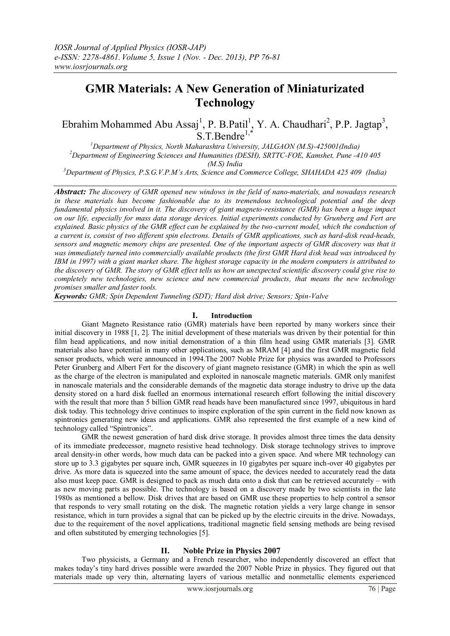# **GMR Materials: A New Generation of Miniaturizated Technology**

Ebrahim Mohammed Abu Assaj<sup>1</sup>, P. B.Patil<sup>1</sup>, Y. A. Chaudhari<sup>2</sup>, P.P. Jagtap<sup>3</sup>,  $S.T.Bendre^{1,*}$ 

*<sup>1</sup>Department of Physics, North Maharashtra University, JALGAON (M.S)-425001(India) <sup>2</sup>Department of Engineering Sciences and Humanities (DESH), SRTTC-FOE, Kamshet, Pune -410 405 (M.S) India*

*<sup>3</sup>Department of Physics, P.S.G.V.P.M's Arts, Science and Commerce College, SHAHADA 425 409 (India)*

*Abstract: The discovery of GMR opened new windows in the field of nano-materials, and nowadays research in these materials has become fashionable due to its tremendous technological potential and the deep fundamental physics involved in it. The discovery of giant magneto-resistance (GMR) has been a huge impact on our life, especially for mass data storage devices. Initial experiments conducted by Grunberg and Fert are explained. Basic physics of the GMR effect can be explained by the two-current model, which the conduction of a current is, consist of two different spin electrons. Details of GMR applications, such as hard-disk read-heads, sensors and magnetic memory chips are presented. One of the important aspects of GMR discovery was that it was immediately turned into commercially available products (the first GMR Hard disk head was introduced by IBM in 1997) with a giant market share. The highest storage capacity in the modern computers is attributed to the discovery of GMR. The story of GMR effect tells us how an unexpected scientific discovery could give rise to completely new technologies, new science and new commercial products, that means the new technology promises smaller and faster tools.*

*Keywords: GMR; Spin Dependent Tunneling (SDT); Hard disk drive; Sensors; Spin-Valve*

#### **I. Introduction**

Giant Magneto Resistance ratio (GMR) materials have been reported by many workers since their initial discovery in 1988 [1, 2]. The initial development of these materials was driven by their potential for thin film head applications, and now initial demonstration of a thin film head using GMR materials [3]. GMR materials also have potential in many other applications, such as MRAM [4] and the first GMR magnetic field sensor products, which were announced in 1994.The 2007 Noble Prize for physics was awarded to Professors Peter Grunberg and Albert Fert for the discovery of giant magneto resistance (GMR) in which the spin as well as the charge of the electron is manipulated and exploited in nanoscale magnetic materials. GMR only manifest in nanoscale materials and the considerable demands of the magnetic data storage industry to drive up the data density stored on a hard disk fuelled an enormous international research effort following the initial discovery with the result that more than 5 billion GMR read heads have been manufactured since 1997, ubiquitous in hard disk today. This technology drive continues to inspire exploration of the spin current in the field now known as spintronics generating new ideas and applications. GMR also represented the first example of a new kind of technology called "Spintronics".

GMR the newest generation of hard disk drive storage. It provides almost three times the data density of its immediate predecessor, magneto resistive head technology. Disk storage technology strives to improve areal density-in other words, how much data can be packed into a given space. And where MR technology can store up to 3.3 gigabytes per square inch, GMR squeezes in 10 gigabytes per square inch-over 40 gigabytes per drive. As more data is squeezed into the same amount of space, the devices needed to accurately read the data also must keep pace. GMR is designed to pack as much data onto a disk that can be retrieved accurately – with as new moving parts as possible. The technology is based on a discovery made by two scientists in the late 1980s as mentioned a bellow. Disk drives that are based on GMR use these properties to help control a sensor that responds to very small rotating on the disk. The magnetic rotation yields a very large change in sensor resistance, which in turn provides a signal that can be picked up by the electric circuits in the drive. Nowadays, due to the requirement of the novel applications, traditional magnetic field sensing methods are being revised and often substituted by emerging technologies [5].

### **II. Noble Prize in Physics 2007**

Two physicists, a Germany and a French researcher, who independently discovered an effect that makes today"s tiny hard drives possible were awarded the 2007 Noble Prize in physics. They figured out that materials made up very thin, alternating layers of various metallic and nonmetallic elements experienced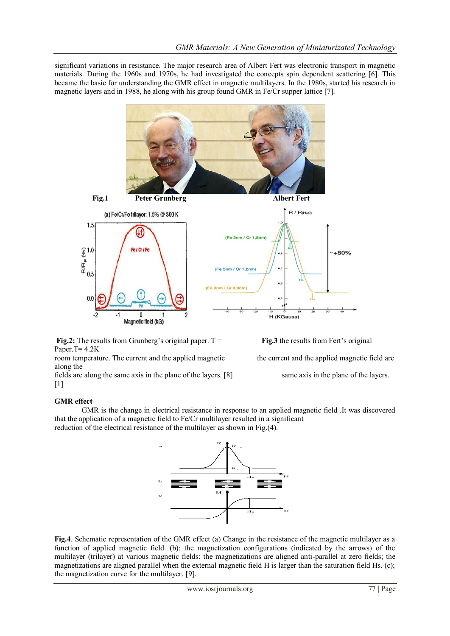significant variations in resistance. The major research area of Albert Fert was electronic transport in magnetic materials. During the 1960s and 1970s, he had investigated the concepts spin dependent scattering [6]. This became the basic for understanding the GMR effect in magnetic multilayers. In the 1980s, started his research in magnetic layers and in 1988, he along with his group found GMR in Fe/Cr supper lattice [7].



**Fig.2:** The results from Grunberg's original paper. T = **Fig.3** the results from Fert's original Paper.T= 4.2K

room temperature. The current and the applied magnetic the current and the applied magnetic field are along the

fields are along the same axis in the plane of the layers. [8] same axis in the plane of the layers.  $[1]$ 

#### **GMR effect**

GMR is the change in electrical resistance in response to an applied magnetic field .It was discovered that the application of a magnetic field to Fe/Cr multilayer resulted in a significant reduction of the electrical resistance of the multilayer as shown in Fig.(4).



**Fig.4**. Schematic representation of the GMR effect (a) Change in the resistance of the magnetic multilayer as a function of applied magnetic field. (b): the magnetization configurations (indicated by the arrows) of the multilayer (trilayer) at various magnetic fields: the magnetizations are aligned anti-parallel at zero fields; the magnetizations are aligned parallel when the external magnetic field H is larger than the saturation field Hs. (c); the magnetization curve for the multilayer. [9].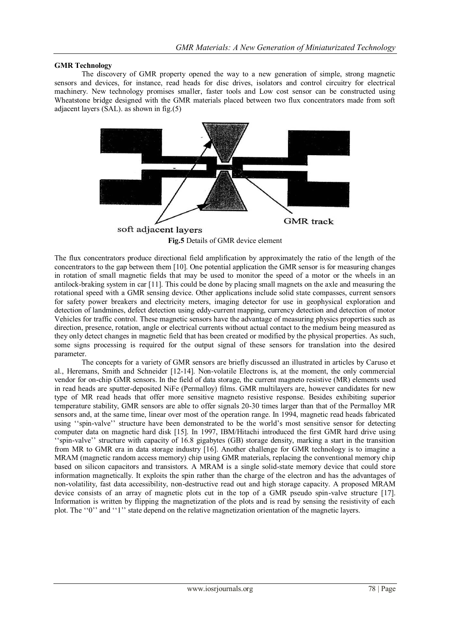#### **GMR Technology**

The discovery of GMR property opened the way to a new generation of simple, strong magnetic sensors and devices, for instance, read heads for disc drives, isolators and control circuitry for electrical machinery. New technology promises smaller, faster tools and Low cost sensor can be constructed using Wheatstone bridge designed with the GMR materials placed between two flux concentrators made from soft adjacent layers (SAL). as shown in fig.(5)



**Fig.5** Details of GMR device element

The flux concentrators produce directional field amplification by approximately the ratio of the length of the concentrators to the gap between them [10]. One potential application the GMR sensor is for measuring changes in rotation of small magnetic fields that may be used to monitor the speed of a motor or the wheels in an antilock-braking system in car [11]. This could be done by placing small magnets on the axle and measuring the rotational speed with a GMR sensing device. Other applications include solid state compasses, current sensors for safety power breakers and electricity meters, imaging detector for use in geophysical exploration and detection of landmines, defect detection using eddy-current mapping, currency detection and detection of motor Vehicles for traffic control. These magnetic sensors have the advantage of measuring physics properties such as direction, presence, rotation, angle or electrical currents without actual contact to the medium being measured as they only detect changes in magnetic field that has been created or modified by the physical properties. As such, some signs processing is required for the output signal of these sensors for translation into the desired parameter.

The concepts for a variety of GMR sensors are briefly discussed an illustrated in articles by Caruso et al., Heremans, Smith and Schneider [12-14]. Non-volatile Electrons is, at the moment, the only commercial vendor for on-chip GMR sensors. In the field of data storage, the current magneto resistive (MR) elements used in read heads are sputter-deposited NiFe (Permalloy) films. GMR multilayers are, however candidates for new type of MR read heads that offer more sensitive magneto resistive response. Besides exhibiting superior temperature stability, GMR sensors are able to offer signals 20-30 times larger than that of the Permalloy MR sensors and, at the same time, linear over most of the operation range. In 1994, magnetic read heads fabricated using "spin-valve" structure have been demonstrated to be the world's most sensitive sensor for detecting computer data on magnetic hard disk [15]. In 1997, IBM/Hitachi introduced the first GMR hard drive using "spin-valve" structure with capacity of 16.8 gigabytes (GB) storage density, marking a start in the transition from MR to GMR era in data storage industry [16]. Another challenge for GMR technology is to imagine a MRAM (magnetic random access memory) chip using GMR materials, replacing the conventional memory chip based on silicon capacitors and transistors. A MRAM is a single solid-state memory device that could store information magnetically. It exploits the spin rather than the charge of the electron and has the advantages of non-volatility, fast data accessibility, non-destructive read out and high storage capacity. A proposed MRAM device consists of an array of magnetic plots cut in the top of a GMR pseudo spin-valve structure [17]. Information is written by flipping the magnetization of the plots and is read by sensing the resistivity of each plot. The "0" and "1" state depend on the relative magnetization orientation of the magnetic layers.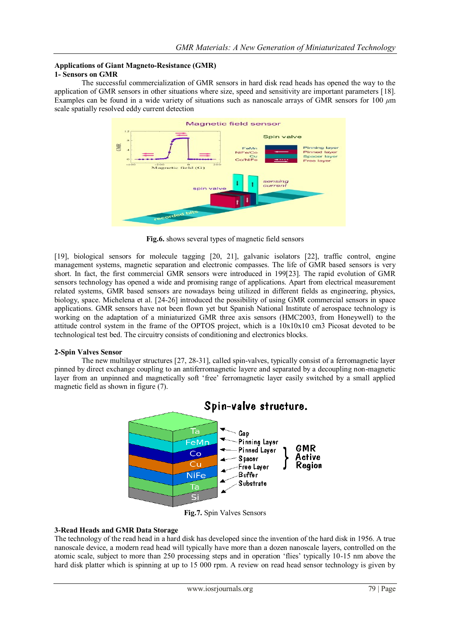### **Applications of Giant Magneto-Resistance (GMR)**

#### **1- Sensors on GMR**

The successful commercialization of GMR sensors in hard disk read heads has opened the way to the application of GMR sensors in other situations where size, speed and sensitivity are important parameters [18]. Examples can be found in a wide variety of situations such as nanoscale arrays of GMR sensors for 100 *μ*m scale spatially resolved eddy current detection



**Fig.6.** shows several types of magnetic field sensors

[19], biological sensors for molecule tagging [20, 21], galvanic isolators [22], traffic control, engine management systems, magnetic separation and electronic compasses. The life of GMR based sensors is very short. In fact, the first commercial GMR sensors were introduced in 199[23]. The rapid evolution of GMR sensors technology has opened a wide and promising range of applications. Apart from electrical measurement related systems, GMR based sensors are nowadays being utilized in different fields as engineering, physics, biology, space. Michelena et al. [24-26] introduced the possibility of using GMR commercial sensors in space applications. GMR sensors have not been flown yet but Spanish National Institute of aerospace technology is working on the adaptation of a miniaturized GMR three axis sensors (HMC2003, from Honeywell) to the attitude control system in the frame of the OPTOS project, which is a 10x10x10 cm3 Picosat devoted to be technological test bed. The circuitry consists of conditioning and electronics blocks.

#### **2-Spin Valves Sensor**

The new multilayer structures [27, 28-31], called spin-valves, typically consist of a ferromagnetic layer pinned by direct exchange coupling to an antiferromagnetic layere and separated by a decoupling non-magnetic layer from an unpinned and magnetically soft "free" ferromagnetic layer easily switched by a small applied magnetic field as shown in figure (7).



## Spin-valve structure.

**Fig.7.** Spin Valves Sensors

#### **3-Read Heads and GMR Data Storage**

The technology of the read head in a hard disk has developed since the invention of the hard disk in 1956. A true nanoscale device, a modern read head will typically have more than a dozen nanoscale layers, controlled on the atomic scale, subject to more than 250 processing steps and in operation "flies" typically 10-15 nm above the hard disk platter which is spinning at up to 15 000 rpm. A review on read head sensor technology is given by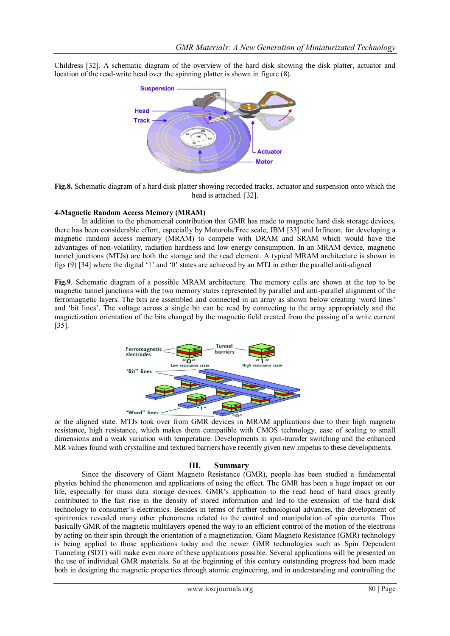Childress [32]. A schematic diagram of the overview of the hard disk showing the disk platter, actuator and location of the read-write head over the spinning platter is shown in figure (8).



**Fig.8.** Schematic diagram of a hard disk platter showing recorded tracks, actuator and suspension onto which the head is attached. [32].

#### **4-Magnetic Random Access Memory (MRAM)**

In addition to the phenomenal contribution that GMR has made to magnetic hard disk storage devices, there has been considerable effort, especially by Motorola/Free scale, IBM [33] and Infineon, for developing a magnetic random access memory (MRAM) to compete with DRAM and SRAM which would have the advantages of non-volatility, radiation hardness and low energy consumption. In an MRAM device, magnetic tunnel junctions (MTJs) are both the storage and the read element. A typical MRAM architecture is shown in figs (9) [34] where the digital "1" and "0" states are achieved by an MTJ in either the parallel anti-aligned

**Fig.9**. Schematic diagram of a possible MRAM architecture. The memory cells are shown at the top to be magnetic tunnel junctions with the two memory states represented by parallel and anti-parallel alignment of the ferromagnetic layers. The bits are assembled and connected in an array as shown below creating "word lines" and "bit lines". The voltage across a single bit can be read by connecting to the array appropriately and the magnetization orientation of the bits changed by the magnetic field created from the passing of a write current  $\overline{[35]}$ .



or the aligned state. MTJs took over from GMR devices in MRAM applications due to their high magneto resistance, high resistance, which makes them compatible with CMOS technology, ease of scaling to small dimensions and a weak variation with temperature. Developments in spin-transfer switching and the enhanced MR values found with crystalline and textured barriers have recently given new impetus to these developments.

#### **III. Summary**

Since the discovery of Giant Magneto Resistance (GMR), people has been studied a fundamental physics behind the phenomenon and applications of using the effect. The GMR has been a huge impact on our life, especially for mass data storage devices. GMR"s application to the read head of hard discs greatly contributed to the fast rise in the density of stored information and led to the extension of the hard disk technology to consumer's electronics. Besides in terms of further technological advances, the development of spintronics revealed many other phenomena related to the control and manipulation of spin currents. Thus basically GMR of the magnetic multilayers opened the way to an efficient control of the motion of the electrons by acting on their spin through the orientation of a magnetization. Giant Magneto Resistance (GMR) technology is being applied to those applications today and the newer GMR technologies such as Spin Dependent Tunneling (SDT) will make even more of these applications possible. Several applications will be presented on the use of individual GMR materials. So at the beginning of this century outstanding progress had been made both in designing the magnetic properties through atomic engineering, and in understanding and controlling the